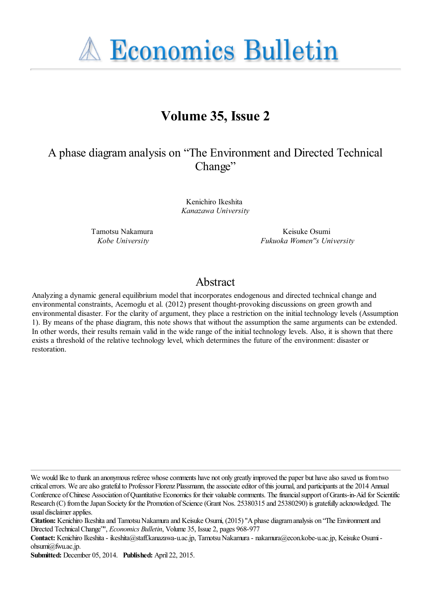**A Economics Bulletin** 

# **Volume 35, Issue 2**

## A phase diagram analysis on "The Environment and Directed Technical Change"

Kenichiro Ikeshita *Kanazawa University*

Tamotsu Nakamura *Kobe University*

Keisuke Osumi *Fukuoka Women''s University*

## Abstract

Analyzing a dynamic general equilibrium model that incorporates endogenous and directed technical change and environmental constraints, Acemoglu et al. (2012) present thought-provoking discussions on green growth and environmental disaster. For the clarity of argument, they place a restriction on the initial technology levels (Assumption 1). By means of the phase diagram, this note shows that without the assumption the same arguments can be extended. In other words, their results remain valid in the wide range of the initial technology levels. Also, it is shown that there exists a threshold of the relative technology level, which determines the future of the environment: disaster or restoration.

**Submitted:** December 05, 2014. **Published:** April 22, 2015.

We would like to thank an anonymous referee whose comments have not only greatly improved the paper but have also saved us from two critical errors. We are also grateful to Professor Florenz Plassmann, the associate editor of this journal, and participants at the 2014 Annual Conference of Chinese Association of Quantitative Economics for their valuable comments. The financial support of Grants-in-Aid for Scientific Research (C) from the Japan Society for the Promotion of Science (Grant Nos. 25380315 and 25380290) is gratefully acknowledged. The usual disclaimer applies.

**Citation:** Kenichiro Ikeshita and Tamotsu Nakamura and Keisuke Osumi, (2015) ''A phase diagram analysis on "The Environment and Directed Technical Change"'', *Economics Bulletin*, Volume 35, Issue 2, pages 968-977

**Contact:** Kenichiro Ikeshita - ikeshita@staff.kanazawa-u.ac.jp, Tamotsu Nakamura - nakamura@econ.kobe-u.ac.jp, Keisuke Osumi ohsumi@fwu.ac.jp.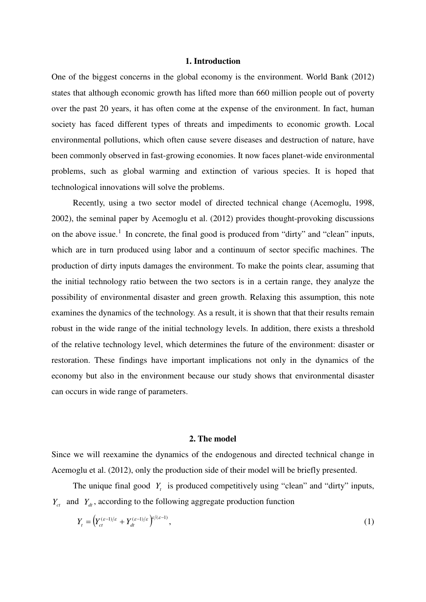#### **1. Introduction**

One of the biggest concerns in the global economy is the environment. World Bank (2012) states that although economic growth has lifted more than 660 million people out of poverty over the past 20 years, it has often come at the expense of the environment. In fact, human society has faced different types of threats and impediments to economic growth. Local environmental pollutions, which often cause severe diseases and destruction of nature, have been commonly observed in fast-growing economies. It now faces planet-wide environmental problems, such as global warming and extinction of various species. It is hoped that technological innovations will solve the problems.

 Recently, using a two sector model of directed technical change (Acemoglu, 1998, 2002), the seminal paper by Acemoglu et al. (2012) provides thought-provoking discussions on the above issue.<sup>[1](#page-1-0)</sup> In concrete, the final good is produced from "dirty" and "clean" inputs, which are in turn produced using labor and a continuum of sector specific machines. The production of dirty inputs damages the environment. To make the points clear, assuming that the initial technology ratio between the two sectors is in a certain range, they analyze the possibility of environmental disaster and green growth. Relaxing this assumption, this note examines the dynamics of the technology. As a result, it is shown that that their results remain robust in the wide range of the initial technology levels. In addition, there exists a threshold of the relative technology level, which determines the future of the environment: disaster or restoration. These findings have important implications not only in the dynamics of the economy but also in the environment because our study shows that environmental disaster can occurs in wide range of parameters.

#### **2. The model**

Since we will reexamine the dynamics of the endogenous and directed technical change in Acemoglu et al. (2012), only the production side of their model will be briefly presented.

The unique final good  $Y_t$  is produced competitively using "clean" and "dirty" inputs,  $Y_{ct}$  and  $Y_{dt}$ , according to the following aggregate production function

<span id="page-1-0"></span>
$$
Y_t = \left(Y_{ct}^{(\varepsilon - 1)/\varepsilon} + Y_{dt}^{(\varepsilon - 1)/\varepsilon}\right)^{\varepsilon/(\varepsilon - 1)},\tag{1}
$$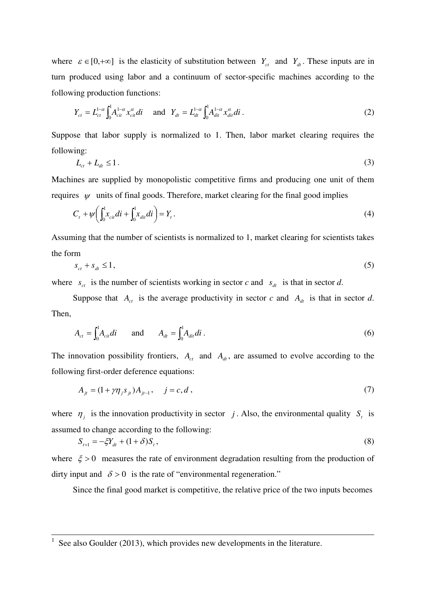where  $\varepsilon \in [0, +\infty]$  is the elasticity of substitution between  $Y_{ct}$  and  $Y_{dt}$ . These inputs are in turn produced using labor and a continuum of sector-specific machines according to the following production functions:

$$
Y_{ct} = L_{ct}^{1-\alpha} \int_0^1 A_{cit}^{1-\alpha} x_{cit}^{\alpha} di \quad \text{and} \quad Y_{dt} = L_{dt}^{1-\alpha} \int_0^1 A_{dit}^{1-\alpha} x_{dit}^{\alpha} di \,.
$$
 (2)

Suppose that labor supply is normalized to 1. Then, labor market clearing requires the following:

$$
L_{ct} + L_{dt} \le 1. \tag{3}
$$

Machines are supplied by monopolistic competitive firms and producing one unit of them requires  $\psi$  units of final goods. Therefore, market clearing for the final good implies

$$
C_t + \psi \left( \int_0^1 x_{\text{cir}} dt + \int_0^1 x_{\text{dir}} dt \right) = Y_t. \tag{4}
$$

Assuming that the number of scientists is normalized to 1, market clearing for scientists takes the form

$$
s_{ct} + s_{dt} \le 1,\tag{5}
$$

where  $s_{ct}$  is the number of scientists working in sector *c* and  $s_{dt}$  is that in sector *d*.

Suppose that  $A_c$  is the average productivity in sector *c* and  $A_d$  is that in sector *d*. Then,

$$
A_{ct} = \int_0^1 A_{ci} \, di \qquad \text{and} \qquad A_{dt} = \int_0^1 A_{di} \, di \, . \tag{6}
$$

The innovation possibility frontiers,  $A_{ct}$  and  $A_{dt}$ , are assumed to evolve according to the following first-order deference equations:

$$
A_{jt} = (1 + \gamma \eta_{j} s_{jt}) A_{jt-1}, \quad j = c, d,
$$
\n(7)

where  $\eta_j$  is the innovation productivity in sector *j*. Also, the environmental quality  $S_t$  is assumed to change according to the following:

$$
S_{t+1} = -\xi Y_{dt} + (1+\delta)S_t, \tag{8}
$$

where  $\xi > 0$  measures the rate of environment degradation resulting from the production of dirty input and  $\delta > 0$  is the rate of "environmental regeneration."

Since the final good market is competitive, the relative price of the two inputs becomes

 $\overline{a}$ 

 $1$  See also Goulder (2013), which provides new developments in the literature.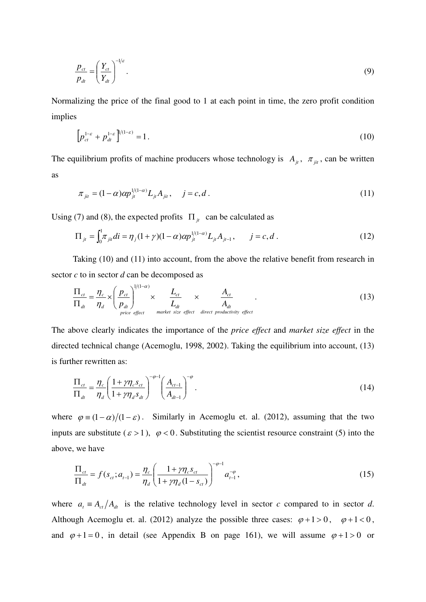$$
\frac{p_{ct}}{p_{dt}} = \left(\frac{Y_{ct}}{Y_{dt}}\right)^{-1/\varepsilon}.\tag{9}
$$

Normalizing the price of the final good to 1 at each point in time, the zero profit condition implies

$$
\left[ p_{ct}^{1-\varepsilon} + p_{dt}^{1-\varepsilon} \right]^{1/(1-\varepsilon)} = 1.
$$
 (10)

The equilibrium profits of machine producers whose technology is  $A_{it}$ ,  $\pi_{it}$ , can be written as

$$
\pi_{ji} = (1 - \alpha) \alpha p_{ji}^{1/(1 - \alpha)} L_{ji} A_{ji}, \quad j = c, d. \tag{11}
$$

Using (7) and (8), the expected profits  $\Pi_{it}$  can be calculated as

 $\frac{1}{1}$  (1)<sub>1</sub>

$$
\Pi_{ji} = \int_0^1 \pi_{ji} di = \eta_j (1 + \gamma)(1 - \alpha) \alpha p_{ji}^{1/(1 - \alpha)} L_{ji} A_{ji-1}, \qquad j = c, d. \qquad (12)
$$

 Taking (10) and (11) into account, from the above the relative benefit from research in sector *c* to in sector *d* can be decomposed as

$$
\frac{\Pi_{ct}}{\Pi_{dt}} = \frac{\eta_c}{\eta_d} \times \left(\frac{p_{ct}}{p_{dt}}\right)^{1/(1-\alpha)} \times \frac{L_{ct}}{L_{dt}} \times \frac{A_{ct}}{A_{dt}}
$$
\n(13)

The above clearly indicates the importance of the *price effect* and *market size effect* in the directed technical change (Acemoglu, 1998, 2002). Taking the equilibrium into account, (13) is further rewritten as:

$$
\frac{\Pi_{ct}}{\Pi_{dt}} = \frac{\eta_c}{\eta_d} \left( \frac{1 + \gamma \eta_c s_{ct}}{1 + \gamma \eta_d s_{dt}} \right)^{-\varphi-1} \left( \frac{A_{ct-1}}{A_{dt-1}} \right)^{-\varphi} . \tag{14}
$$

where  $\varphi = (1 - \alpha)/(1 - \varepsilon)$ . Similarly in Acemoglu et. al. (2012), assuming that the two inputs are substitute ( $\varepsilon > 1$ ),  $\varphi < 0$ . Substituting the scientist resource constraint (5) into the above, we have

$$
\frac{\Pi_{ct}}{\Pi_{dt}} = f(s_{ct}; a_{t-1}) = \frac{\eta_c}{\eta_d} \left( \frac{1 + \gamma \eta_c s_{ct}}{1 + \gamma \eta_d (1 - s_{ct})} \right)^{-\varphi - 1} a_{t-1}^{-\varphi},
$$
\n(15)

where  $a_t = A_{ct}/A_{dt}$  is the relative technology level in sector *c* compared to in sector *d*. Although Acemoglu et. al. (2012) analyze the possible three cases:  $\varphi + 1 > 0$ ,  $\varphi + 1 < 0$ , and  $\varphi + 1 = 0$ , in detail (see Appendix B on page 161), we will assume  $\varphi + 1 > 0$  or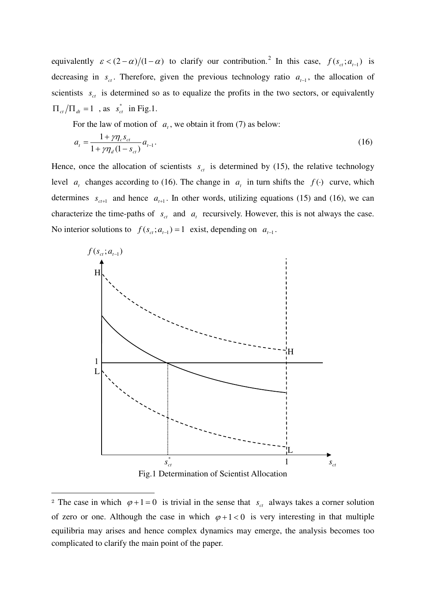equivalently  $\varepsilon < (2 - \alpha)/(1 - \alpha)$  $\varepsilon < (2 - \alpha)/(1 - \alpha)$  $\varepsilon < (2 - \alpha)/(1 - \alpha)$  to clarify our contribution.<sup>2</sup> In this case,  $f(s_{ct}; a_{t-1})$  is decreasing in  $s_c$ . Therefore, given the previous technology ratio  $a_{t-1}$ , the allocation of scientists  $s_{ct}$  is determined so as to equalize the profits in the two sectors, or equivalently  $\Pi_{ct}/\Pi_{dt} = 1$ , as  $s_{ct}^*$  in Fig.1.

For the law of motion of  $a_t$ , we obtain it from (7) as below:

$$
a_{t} = \frac{1 + \gamma \eta_{c} s_{ct}}{1 + \gamma \eta_{d} (1 - s_{ct})} a_{t-1}.
$$
\n(16)

Hence, once the allocation of scientists  $s_{ct}$  is determined by (15), the relative technology level *a<sub>t</sub>* changes according to (16). The change in *a<sub>t</sub>* in turn shifts the  $f(\cdot)$  curve, which determines  $s_{ct+1}$  and hence  $a_{t+1}$ . In other words, utilizing equations (15) and (16), we can characterize the time-paths of  $s_{ct}$  and  $a_t$  recursively. However, this is not always the case. No interior solutions to  $f(s_{ct}; a_{t-1}) = 1$  exist, depending on  $a_{t-1}$ .



Fig.1 Determination of Scientist Allocation

 $\overline{a}$ 

<span id="page-4-0"></span><sup>&</sup>lt;sup>2</sup> The case in which  $\varphi + 1 = 0$  is trivial in the sense that  $s_{ct}$  always takes a corner solution of zero or one. Although the case in which  $\varphi + 1 < 0$  is very interesting in that multiple equilibria may arises and hence complex dynamics may emerge, the analysis becomes too complicated to clarify the main point of the paper.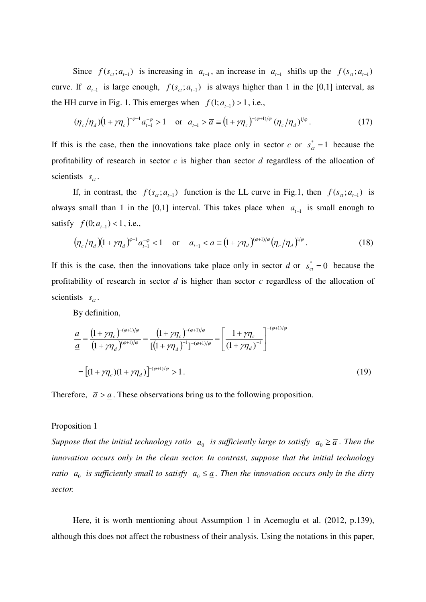Since  $f(s_{ct}; a_{t-1})$  is increasing in  $a_{t-1}$ , an increase in  $a_{t-1}$  shifts up the  $f(s_{ct}; a_{t-1})$ curve. If  $a_{t-1}$  is large enough,  $f(s_{ct}; a_{t-1})$  is always higher than 1 in the [0,1] interval, as the HH curve in Fig. 1. This emerges when  $f(1; a_{t-1}) > 1$ , i.e.,

$$
(\eta_c/\eta_d)(1+\gamma\eta_c)^{-\varphi-1}a_{t-1}^{-\varphi} > 1 \quad \text{or} \quad a_{t-1} > \overline{a} \equiv (1+\gamma\eta_c)^{-(\varphi+1)/\varphi} (\eta_c/\eta_d)^{1/\varphi}.
$$
 (17)

If this is the case, then the innovations take place only in sector *c* or  $s_{ct}^* = 1$  because the profitability of research in sector *c* is higher than sector *d* regardless of the allocation of scientists  $s_{ct}$ .

If, in contrast, the  $f(s_{ct}; a_{t-1})$  function is the LL curve in Fig.1, then  $f(s_{ct}; a_{t-1})$  is always small than 1 in the [0,1] interval. This takes place when  $a_{t-1}$  is small enough to satisfy  $f(0; a_{t-1}) < 1$ , i.e.,

$$
(\eta_c/\eta_d)(1+\gamma\eta_d)^{\varphi+1}a_{t-1}^{-\varphi} < 1 \quad \text{or} \quad a_{t-1} < \underline{a} \equiv (1+\gamma\eta_d)^{(\varphi+1)/\varphi}(\eta_c/\eta_d)^{1/\varphi}.
$$
 (18)

If this is the case, then the innovations take place only in sector *d* or  $s_{ct}^* = 0$  because the profitability of research in sector *d* is higher than sector *c* regardless of the allocation of scientists  $s_{ct}$ .

By definition,

$$
\frac{\overline{a}}{\underline{a}} = \frac{\left(1 + \gamma \eta_c\right)^{-(\varphi + 1)/\varphi}}{\left(1 + \gamma \eta_d\right)^{(\varphi + 1)/\varphi}} = \frac{\left(1 + \gamma \eta_c\right)^{-(\varphi + 1)/\varphi}}{\left[\left(1 + \gamma \eta_d\right)^{-1}\right]^{-(\varphi + 1)/\varphi}} = \left[\frac{1 + \gamma \eta_c}{\left(1 + \gamma \eta_d\right)^{-1}}\right]^{-(\varphi + 1)/\varphi}
$$
\n
$$
= \left[(1 + \gamma \eta_c)(1 + \gamma \eta_d)\right]^{-(\varphi + 1)/\varphi} > 1. \tag{19}
$$

Therefore,  $\bar{a} > \underline{a}$ . These observations bring us to the following proposition.

#### Proposition 1

*Suppose that the initial technology ratio*  $a_0$  *is sufficiently large to satisfy*  $a_0 \geq \overline{a}$ *. Then the innovation occurs only in the clean sector. In contrast, suppose that the initial technology ratio*  $a_0$  *is sufficiently small to satisfy*  $a_0 \leq \underline{a}$ . Then the innovation occurs only in the dirty *sector.*

 Here, it is worth mentioning about Assumption 1 in Acemoglu et al. (2012, p.139), although this does not affect the robustness of their analysis. Using the notations in this paper,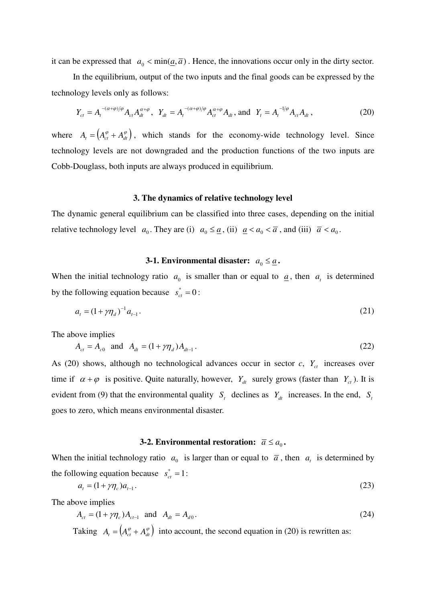it can be expressed that  $a_0 < \min(\underline{a}, \overline{a})$ . Hence, the innovations occur only in the dirty sector.

 In the equilibrium, output of the two inputs and the final goods can be expressed by the technology levels only as follows:

$$
Y_{ct} = A_t^{-(\alpha+\varphi)/\varphi} A_{ct} A_{dt}^{\alpha+\varphi}, \ \ Y_{dt} = A_t^{-(\alpha+\varphi)/\varphi} A_{ct}^{\alpha+\varphi} A_{dt}, \text{ and } \ Y_t = A_t^{-1/\varphi} A_{ct} A_{dt}, \tag{20}
$$

where  $A_t = ( A_{ct}^{\varphi} + A_{dt}^{\varphi} )$ , which stands for the economy-wide technology level. Since technology levels are not downgraded and the production functions of the two inputs are Cobb-Douglass, both inputs are always produced in equilibrium.

#### **3. The dynamics of relative technology level**

The dynamic general equilibrium can be classified into three cases, depending on the initial relative technology level  $a_0$ . They are (i)  $a_0 \leq \underline{a}$ , (ii)  $\underline{a} < a_0 < \overline{a}$ , and (iii)  $\overline{a} < a_0$ .

#### **3-1. Environmental disaster:**  $a_0 \leq \underline{a}$ .

When the initial technology ratio  $a_0$  is smaller than or equal to  $\underline{a}$ , then  $a_t$  is determined by the following equation because  $s_{ct}^* = 0$ :

$$
a_t = (1 + \gamma \eta_d)^{-1} a_{t-1}.
$$
\n(21)

The above implies

$$
A_{ct} = A_{c0} \text{ and } A_{dt} = (1 + \gamma \eta_d) A_{dt-1}.
$$
 (22)

As (20) shows, although no technological advances occur in sector  $c$ ,  $Y_{ct}$  increases over time if  $\alpha + \varphi$  is positive. Quite naturally, however,  $Y_{dt}$  surely grows (faster than  $Y_{ct}$ ). It is evident from (9) that the environmental quality  $S_t$  declines as  $Y_d$  increases. In the end,  $S_t$ goes to zero, which means environmental disaster.

### **3-2. Environmental restoration:**  $\overline{a} \le a_0$ .

When the initial technology ratio  $a_0$  is larger than or equal to  $\bar{a}$ , then  $a_t$  is determined by the following equation because  $s_{ct}^* = 1$ :

$$
a_t = (1 + \gamma \eta_c) a_{t-1}.
$$
\n<sup>(23)</sup>

The above implies

$$
A_{ct} = (1 + \gamma \eta_c) A_{ct-1} \text{ and } A_{dt} = A_{d0}.
$$
 (24)

Taking  $A_t = ( A_{ct}^{\varphi} + A_{dt}^{\varphi} )$  into account, the second equation in (20) is rewritten as: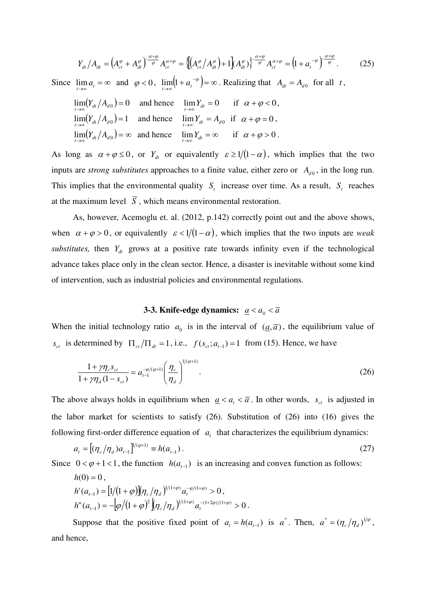$$
Y_{dt}/A_{dt} = \left(A_{ct}^{\varphi} + A_{dt}^{\varphi}\right)^{\frac{\alpha+\varphi}{\varphi}} A_{ct}^{\alpha+\varphi} = \left\{\left[\left(A_{ct}^{\varphi}/A_{dt}^{\varphi}\right) + 1\right]\left(A_{dt}^{\varphi}\right)\right\}^{\frac{\alpha+\varphi}{\varphi}} A_{ct}^{\alpha+\varphi} = \left(1 + a_t^{-\varphi}\right)^{\frac{\alpha+\varphi}{\varphi}}.\tag{25}
$$

Since  $\lim_{t \to \infty} a_t = \infty$  and  $\varphi < 0$ ,  $\lim_{t \to \infty} (1 + a_t^{-\varphi}) = \infty$ ∞→  $\lim_{t \to \infty} (1 + a_t^{-\varphi}) = \infty$ . Realizing that  $A_{dt} = A_{d0}$  for all *t*,

$$
\lim_{t \to \infty} (Y_{dt}/A_{d0}) = 0 \text{ and hence } \lim_{t \to \infty} Y_{dt} = 0 \text{ if } \alpha + \varphi < 0,
$$
\n
$$
\lim_{t \to \infty} (Y_{dt}/A_{d0}) = 1 \text{ and hence } \lim_{t \to \infty} Y_{dt} = A_{d0} \text{ if } \alpha + \varphi = 0,
$$
\n
$$
\lim_{t \to \infty} (Y_{dt}/A_{d0}) = \infty \text{ and hence } \lim_{t \to \infty} Y_{dt} = \infty \text{ if } \alpha + \varphi > 0.
$$

As long as  $\alpha + \varphi \le 0$ , or  $Y_{dt}$  or equivalently  $\varepsilon \ge 1/(1-\alpha)$ , which implies that the two inputs are *strong substitutes* approaches to a finite value, either zero or  $A_{d0}$ , in the long run. This implies that the environmental quality  $S_t$  increase over time. As a result,  $S_t$  reaches at the maximum level  $\overline{S}$ , which means environmental restoration.

 As, however, Acemoglu et. al. (2012, p.142) correctly point out and the above shows, when  $\alpha + \varphi > 0$ , or equivalently  $\varepsilon < 1/(1-\alpha)$ , which implies that the two inputs are *weak substitutes,* then  $Y_{dt}$  grows at a positive rate towards infinity even if the technological advance takes place only in the clean sector. Hence, a disaster is inevitable without some kind of intervention, such as industrial policies and environmental regulations.

### **3-3. Knife-edge dynamics:**  $\underline{a} < a_0 < \overline{a}$

When the initial technology ratio  $a_0$  is in the interval of  $(a,\overline{a})$ , the equilibrium value of *s<sub>ct</sub>* is determined by  $\Pi_{ct}/\Pi_{dt} = 1$ , i.e.,  $f(s_{ct}; a_{t-1}) = 1$  from (15). Hence, we have

$$
\frac{1+\gamma\eta_c s_{ct}}{1+\gamma\eta_d(1-s_{ct})} = a_{t-1}^{-\varphi/(\varphi+1)} \left(\frac{\eta_c}{\eta_d}\right)^{1/(\varphi+1)}.
$$
\n(26)

The above always holds in equilibrium when  $\underline{a} < a_t < \overline{a}$ . In other words,  $s_{ct}$  is adjusted in the labor market for scientists to satisfy (26). Substitution of (26) into (16) gives the following first-order difference equation of  $a<sub>t</sub>$  that characterizes the equilibrium dynamics:

$$
a_{t} = \left[ (\eta_{c}/\eta_{d}) a_{t-1} \right]^{1/(\varphi+1)} \equiv h(a_{t-1}). \tag{27}
$$

Since  $0 < \varphi + 1 < 1$ , the function  $h(a_{t-1})$  is an increasing and convex function as follows:

$$
h(0) = 0,
$$
  
\n
$$
h'(a_{t-1}) = \left[\frac{1}{(1+\varphi)}\right] \left(\eta_c / \eta_d\right)^{1/(1+\varphi)} a_t^{-\varphi/(1+\varphi)} > 0,
$$
  
\n
$$
h''(a_{t-1}) = -\left[\frac{\varphi}{(1+\varphi)^2}\right] \left(\eta_c / \eta_d\right)^{1/(1+\varphi)} a_t^{-(1+2\varphi)/(1+\varphi)} > 0.
$$

Suppose that the positive fixed point of  $a_t = h(a_{t-1})$  is  $a^*$ . Then,  $a^* = (\eta_c/\eta_d)^{1/\varphi}$ , and hence,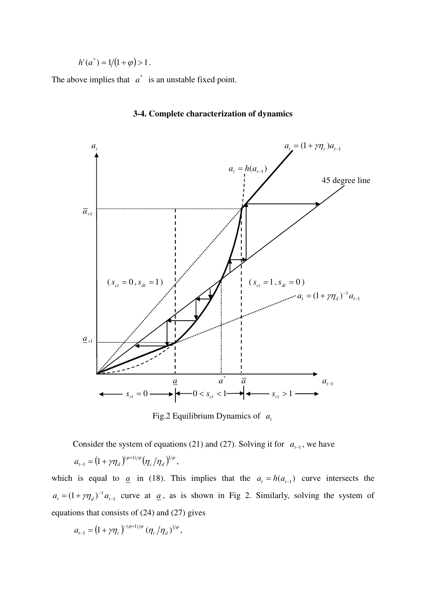$$
h'(a^*) = 1/(1+\varphi) > 1.
$$

The above implies that  $a^*$  is an unstable fixed point.



#### **3-4. Complete characterization of dynamics**

Fig.2 Equilibrium Dynamics of *a<sup>t</sup>*

Consider the system of equations (21) and (27). Solving it for  $a_{t-1}$ , we have

$$
a_{t-1} = (1 + \gamma \eta_d)^{(\varphi+1)/\varphi} (\eta_c/\eta_d)^{1/\varphi},
$$

which is equal to <u>*a*</u> in (18). This implies that the  $a_t = h(a_{t-1})$  curve intersects the 1  $(1 + \gamma \eta_d)^{-1} a_{t-1}$  $a_t = (1 + \gamma \eta_d)^{-1} a_{t-1}$  curve at  $\underline{a}$ , as is shown in Fig 2. Similarly, solving the system of equations that consists of (24) and (27) gives

$$
a_{t-1} = (1 + \gamma \eta_c)^{-(\varphi + 1)/\varphi} (\eta_c / \eta_d)^{1/\varphi},
$$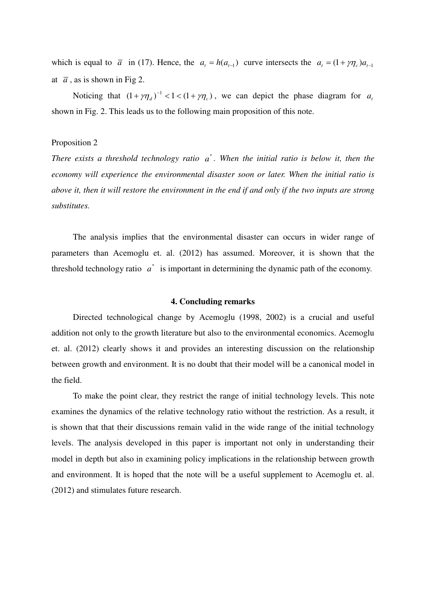which is equal to  $\bar{a}$  in (17). Hence, the  $a_t = h(a_{t-1})$  curve intersects the  $a_t = (1 + \gamma \eta_c)a_{t-1}$ at  $\bar{a}$ , as is shown in Fig 2.

Noticing that  $(1 + \gamma \eta_d)^{-1} < 1 < (1 + \gamma \eta_c)$ , we can depict the phase diagram for *a<sub>t</sub>* shown in Fig. 2. This leads us to the following main proposition of this note.

#### Proposition 2

*There exists a threshold technology ratio a*<sup>\*</sup>. When the initial ratio is below it, then the *economy will experience the environmental disaster soon or later. When the initial ratio is above it, then it will restore the environment in the end if and only if the two inputs are strong substitutes.* 

 The analysis implies that the environmental disaster can occurs in wider range of parameters than Acemoglu et. al. (2012) has assumed. Moreover, it is shown that the threshold technology ratio  $a^*$  is important in determining the dynamic path of the economy.

#### **4. Concluding remarks**

 Directed technological change by Acemoglu (1998, 2002) is a crucial and useful addition not only to the growth literature but also to the environmental economics. Acemoglu et. al. (2012) clearly shows it and provides an interesting discussion on the relationship between growth and environment. It is no doubt that their model will be a canonical model in the field.

 To make the point clear, they restrict the range of initial technology levels. This note examines the dynamics of the relative technology ratio without the restriction. As a result, it is shown that that their discussions remain valid in the wide range of the initial technology levels. The analysis developed in this paper is important not only in understanding their model in depth but also in examining policy implications in the relationship between growth and environment. It is hoped that the note will be a useful supplement to Acemoglu et. al. (2012) and stimulates future research.